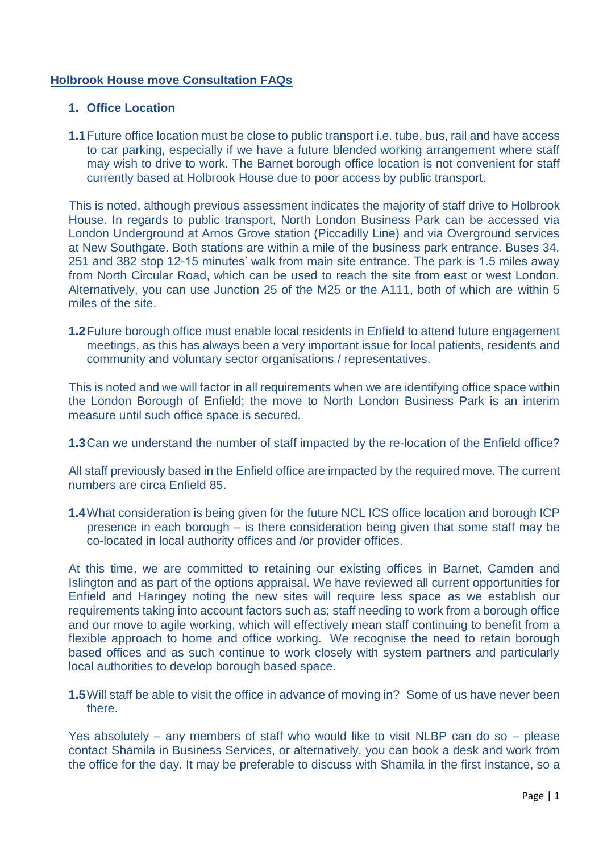# **Holbrook House move Consultation FAQs**

## **1. Office Location**

**1.1**Future office location must be close to public transport i.e. tube, bus, rail and have access to car parking, especially if we have a future blended working arrangement where staff may wish to drive to work. The Barnet borough office location is not convenient for staff currently based at Holbrook House due to poor access by public transport.

This is noted, although previous assessment indicates the majority of staff drive to Holbrook House. In regards to public transport, North London Business Park can be accessed via London Underground at Arnos Grove station (Piccadilly Line) and via Overground services at New Southgate. Both stations are within a mile of the business park entrance. Buses 34, 251 and 382 stop 12-15 minutes' walk from main site entrance. The park is 1.5 miles away from North Circular Road, which can be used to reach the site from east or west London. Alternatively, you can use Junction 25 of the M25 or the A111, both of which are within 5 miles of the site.

**1.2**Future borough office must enable local residents in Enfield to attend future engagement meetings, as this has always been a very important issue for local patients, residents and community and voluntary sector organisations / representatives.

This is noted and we will factor in all requirements when we are identifying office space within the London Borough of Enfield; the move to North London Business Park is an interim measure until such office space is secured.

**1.3**Can we understand the number of staff impacted by the re-location of the Enfield office?

All staff previously based in the Enfield office are impacted by the required move. The current numbers are circa Enfield 85.

**1.4**What consideration is being given for the future NCL ICS office location and borough ICP presence in each borough – is there consideration being given that some staff may be co-located in local authority offices and /or provider offices.

At this time, we are committed to retaining our existing offices in Barnet, Camden and Islington and as part of the options appraisal. We have reviewed all current opportunities for Enfield and Haringey noting the new sites will require less space as we establish our requirements taking into account factors such as; staff needing to work from a borough office and our move to agile working, which will effectively mean staff continuing to benefit from a flexible approach to home and office working. We recognise the need to retain borough based offices and as such continue to work closely with system partners and particularly local authorities to develop borough based space.

**1.5**Will staff be able to visit the office in advance of moving in? Some of us have never been there.

Yes absolutely – any members of staff who would like to visit NLBP can do so – please contact Shamila in Business Services, or alternatively, you can book a desk and work from the office for the day. It may be preferable to discuss with Shamila in the first instance, so a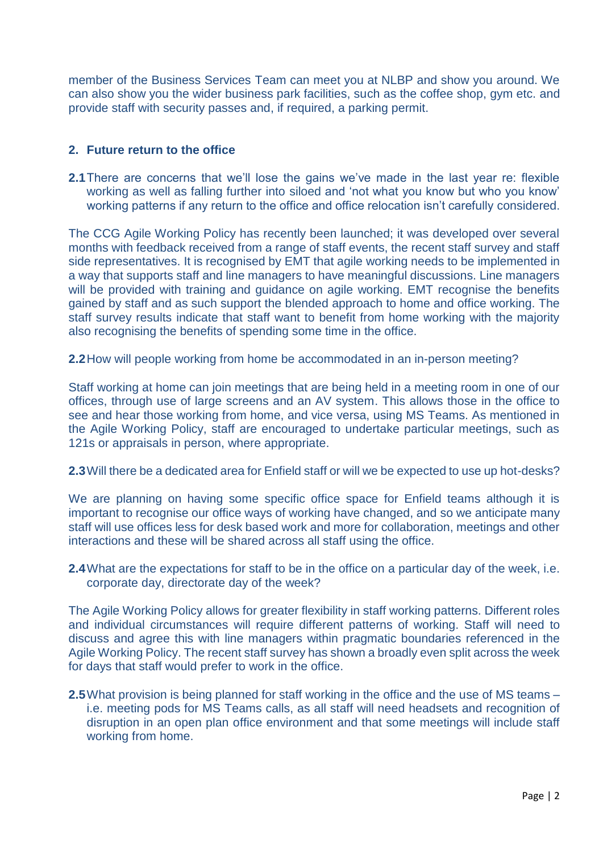member of the Business Services Team can meet you at NLBP and show you around. We can also show you the wider business park facilities, such as the coffee shop, gym etc. and provide staff with security passes and, if required, a parking permit.

## **2. Future return to the office**

**2.1**There are concerns that we'll lose the gains we've made in the last year re: flexible working as well as falling further into siloed and 'not what you know but who you know' working patterns if any return to the office and office relocation isn't carefully considered.

The CCG Agile Working Policy has recently been launched; it was developed over several months with feedback received from a range of staff events, the recent staff survey and staff side representatives. It is recognised by EMT that agile working needs to be implemented in a way that supports staff and line managers to have meaningful discussions. Line managers will be provided with training and guidance on agile working. EMT recognise the benefits gained by staff and as such support the blended approach to home and office working. The staff survey results indicate that staff want to benefit from home working with the majority also recognising the benefits of spending some time in the office.

**2.2**How will people working from home be accommodated in an in-person meeting?

Staff working at home can join meetings that are being held in a meeting room in one of our offices, through use of large screens and an AV system. This allows those in the office to see and hear those working from home, and vice versa, using MS Teams. As mentioned in the Agile Working Policy, staff are encouraged to undertake particular meetings, such as 121s or appraisals in person, where appropriate.

**2.3**Will there be a dedicated area for Enfield staff or will we be expected to use up hot-desks?

We are planning on having some specific office space for Enfield teams although it is important to recognise our office ways of working have changed, and so we anticipate many staff will use offices less for desk based work and more for collaboration, meetings and other interactions and these will be shared across all staff using the office.

**2.4**What are the expectations for staff to be in the office on a particular day of the week, i.e. corporate day, directorate day of the week?

The Agile Working Policy allows for greater flexibility in staff working patterns. Different roles and individual circumstances will require different patterns of working. Staff will need to discuss and agree this with line managers within pragmatic boundaries referenced in the Agile Working Policy. The recent staff survey has shown a broadly even split across the week for days that staff would prefer to work in the office.

**2.5**What provision is being planned for staff working in the office and the use of MS teams – i.e. meeting pods for MS Teams calls, as all staff will need headsets and recognition of disruption in an open plan office environment and that some meetings will include staff working from home.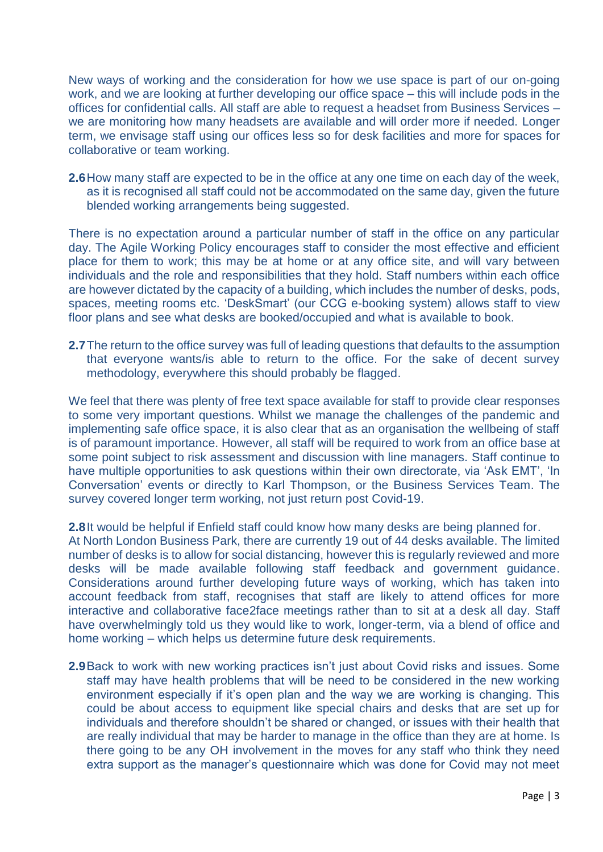New ways of working and the consideration for how we use space is part of our on-going work, and we are looking at further developing our office space – this will include pods in the offices for confidential calls. All staff are able to request a headset from Business Services – we are monitoring how many headsets are available and will order more if needed. Longer term, we envisage staff using our offices less so for desk facilities and more for spaces for collaborative or team working.

**2.6**How many staff are expected to be in the office at any one time on each day of the week, as it is recognised all staff could not be accommodated on the same day, given the future blended working arrangements being suggested.

There is no expectation around a particular number of staff in the office on any particular day. The Agile Working Policy encourages staff to consider the most effective and efficient place for them to work; this may be at home or at any office site, and will vary between individuals and the role and responsibilities that they hold. Staff numbers within each office are however dictated by the capacity of a building, which includes the number of desks, pods, spaces, meeting rooms etc. 'DeskSmart' (our CCG e-booking system) allows staff to view floor plans and see what desks are booked/occupied and what is available to book.

**2.7**The return to the office survey was full of leading questions that defaults to the assumption that everyone wants/is able to return to the office. For the sake of decent survey methodology, everywhere this should probably be flagged.

We feel that there was plenty of free text space available for staff to provide clear responses to some very important questions. Whilst we manage the challenges of the pandemic and implementing safe office space, it is also clear that as an organisation the wellbeing of staff is of paramount importance. However, all staff will be required to work from an office base at some point subject to risk assessment and discussion with line managers. Staff continue to have multiple opportunities to ask questions within their own directorate, via 'Ask EMT', 'In Conversation' events or directly to Karl Thompson, or the Business Services Team. The survey covered longer term working, not just return post Covid-19.

**2.8**It would be helpful if Enfield staff could know how many desks are being planned for. At North London Business Park, there are currently 19 out of 44 desks available. The limited number of desks is to allow for social distancing, however this is regularly reviewed and more desks will be made available following staff feedback and government guidance. Considerations around further developing future ways of working, which has taken into account feedback from staff, recognises that staff are likely to attend offices for more interactive and collaborative face2face meetings rather than to sit at a desk all day. Staff have overwhelmingly told us they would like to work, longer-term, via a blend of office and home working – which helps us determine future desk requirements.

**2.9**Back to work with new working practices isn't just about Covid risks and issues. Some staff may have health problems that will be need to be considered in the new working environment especially if it's open plan and the way we are working is changing. This could be about access to equipment like special chairs and desks that are set up for individuals and therefore shouldn't be shared or changed, or issues with their health that are really individual that may be harder to manage in the office than they are at home. Is there going to be any OH involvement in the moves for any staff who think they need extra support as the manager's questionnaire which was done for Covid may not meet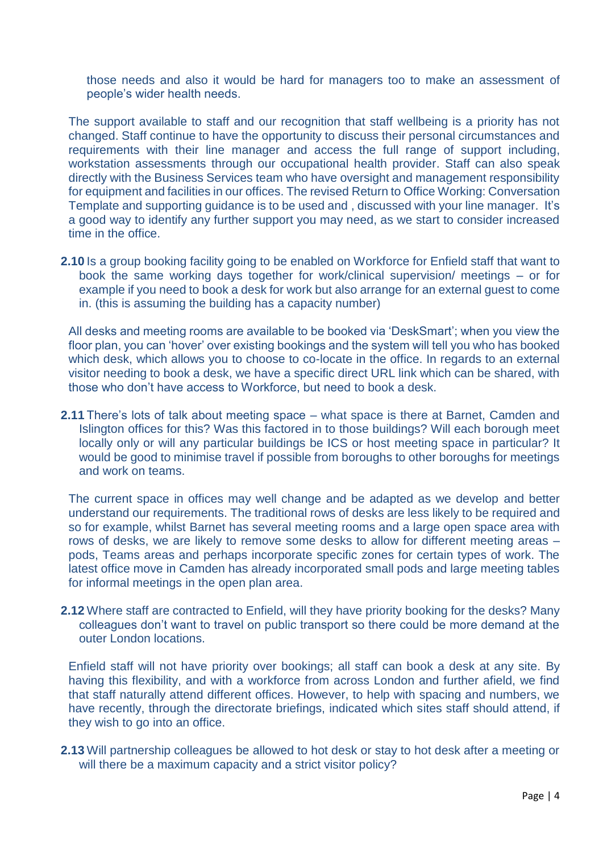those needs and also it would be hard for managers too to make an assessment of people's wider health needs.

The support available to staff and our recognition that staff wellbeing is a priority has not changed. Staff continue to have the opportunity to discuss their personal circumstances and requirements with their line manager and access the full range of support including, workstation assessments through our occupational health provider. Staff can also speak directly with the Business Services team who have oversight and management responsibility for equipment and facilities in our offices. The revised Return to Office Working: Conversation Template and supporting guidance is to be used and , discussed with your line manager. It's a good way to identify any further support you may need, as we start to consider increased time in the office.

**2.10** Is a group booking facility going to be enabled on Workforce for Enfield staff that want to book the same working days together for work/clinical supervision/ meetings – or for example if you need to book a desk for work but also arrange for an external guest to come in. (this is assuming the building has a capacity number)

All desks and meeting rooms are available to be booked via 'DeskSmart'; when you view the floor plan, you can 'hover' over existing bookings and the system will tell you who has booked which desk, which allows you to choose to co-locate in the office. In regards to an external visitor needing to book a desk, we have a specific direct URL link which can be shared, with those who don't have access to Workforce, but need to book a desk.

**2.11** There's lots of talk about meeting space – what space is there at Barnet, Camden and Islington offices for this? Was this factored in to those buildings? Will each borough meet locally only or will any particular buildings be ICS or host meeting space in particular? It would be good to minimise travel if possible from boroughs to other boroughs for meetings and work on teams.

The current space in offices may well change and be adapted as we develop and better understand our requirements. The traditional rows of desks are less likely to be required and so for example, whilst Barnet has several meeting rooms and a large open space area with rows of desks, we are likely to remove some desks to allow for different meeting areas – pods, Teams areas and perhaps incorporate specific zones for certain types of work. The latest office move in Camden has already incorporated small pods and large meeting tables for informal meetings in the open plan area.

**2.12** Where staff are contracted to Enfield, will they have priority booking for the desks? Many colleagues don't want to travel on public transport so there could be more demand at the outer London locations.

Enfield staff will not have priority over bookings; all staff can book a desk at any site. By having this flexibility, and with a workforce from across London and further afield, we find that staff naturally attend different offices. However, to help with spacing and numbers, we have recently, through the directorate briefings, indicated which sites staff should attend, if they wish to go into an office.

**2.13** Will partnership colleagues be allowed to hot desk or stay to hot desk after a meeting or will there be a maximum capacity and a strict visitor policy?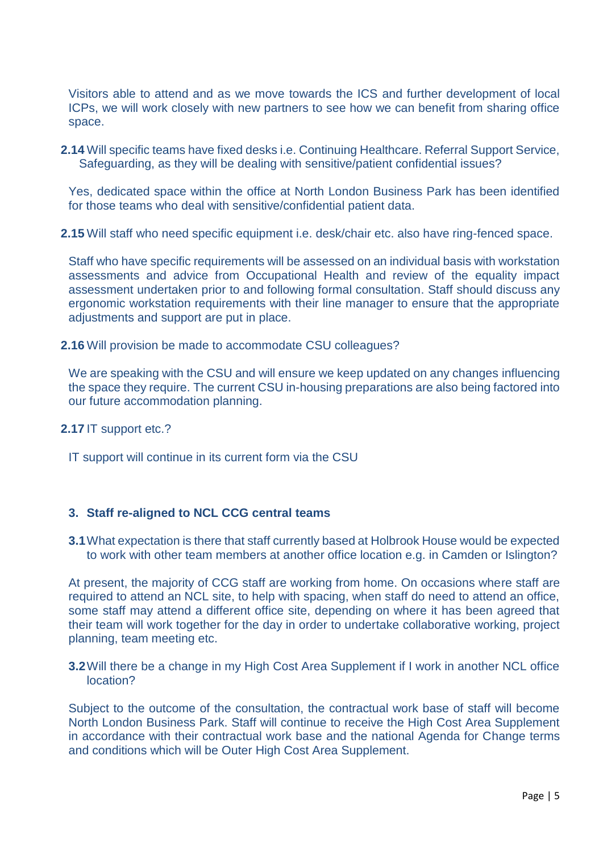Visitors able to attend and as we move towards the ICS and further development of local ICPs, we will work closely with new partners to see how we can benefit from sharing office space.

**2.14** Will specific teams have fixed desks i.e. Continuing Healthcare. Referral Support Service, Safeguarding, as they will be dealing with sensitive/patient confidential issues?

Yes, dedicated space within the office at North London Business Park has been identified for those teams who deal with sensitive/confidential patient data.

**2.15** Will staff who need specific equipment i.e. desk/chair etc. also have ring-fenced space.

Staff who have specific requirements will be assessed on an individual basis with workstation assessments and advice from Occupational Health and review of the equality impact assessment undertaken prior to and following formal consultation. Staff should discuss any ergonomic workstation requirements with their line manager to ensure that the appropriate adjustments and support are put in place.

**2.16** Will provision be made to accommodate CSU colleagues?

We are speaking with the CSU and will ensure we keep updated on any changes influencing the space they require. The current CSU in-housing preparations are also being factored into our future accommodation planning.

**2.17** IT support etc.?

IT support will continue in its current form via the CSU

#### **3. Staff re-aligned to NCL CCG central teams**

**3.1**What expectation is there that staff currently based at Holbrook House would be expected to work with other team members at another office location e.g. in Camden or Islington?

At present, the majority of CCG staff are working from home. On occasions where staff are required to attend an NCL site, to help with spacing, when staff do need to attend an office, some staff may attend a different office site, depending on where it has been agreed that their team will work together for the day in order to undertake collaborative working, project planning, team meeting etc.

### **3.2**Will there be a change in my High Cost Area Supplement if I work in another NCL office location?

Subject to the outcome of the consultation, the contractual work base of staff will become North London Business Park. Staff will continue to receive the High Cost Area Supplement in accordance with their contractual work base and the national Agenda for Change terms and conditions which will be Outer High Cost Area Supplement.